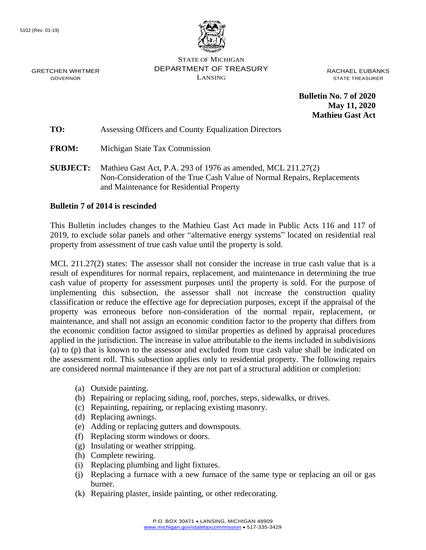

STATE OF MICHIGAN DEPARTMENT OF TREASURY LANSING

RACHAEL EUBANKS STATE TREASURER

**Bulletin No. 7 of 2020 May 11, 2020 Mathieu Gast Act**

**TO:** Assessing Officers and County Equalization Directors

**FROM:** Michigan State Tax Commission

**SUBJECT:** Mathieu Gast Act, P.A. 293 of 1976 as amended, MCL 211.27(2) Non-Consideration of the True Cash Value of Normal Repairs, Replacements and Maintenance for Residential Property

## **Bulletin 7 of 2014 is rescinded**

This Bulletin includes changes to the Mathieu Gast Act made in Public Acts 116 and 117 of 2019, to exclude solar panels and other "alternative energy systems" located on residential real property from assessment of true cash value until the property is sold.

MCL 211.27(2) states: The assessor shall not consider the increase in true cash value that is a result of expenditures for normal repairs, replacement, and maintenance in determining the true cash value of property for assessment purposes until the property is sold. For the purpose of implementing this subsection, the assessor shall not increase the construction quality classification or reduce the effective age for depreciation purposes, except if the appraisal of the property was erroneous before non-consideration of the normal repair, replacement, or maintenance, and shall not assign an economic condition factor to the property that differs from the economic condition factor assigned to similar properties as defined by appraisal procedures applied in the jurisdiction. The increase in value attributable to the items included in subdivisions (a) to (p) that is known to the assessor and excluded from true cash value shall be indicated on the assessment roll. This subsection applies only to residential property. The following repairs are considered normal maintenance if they are not part of a structural addition or completion:

- (a) Outside painting.
- (b) Repairing or replacing siding, roof, porches, steps, sidewalks, or drives.
- (c) Repainting, repairing, or replacing existing masonry.
- (d) Replacing awnings.
- (e) Adding or replacing gutters and downspouts.
- (f) Replacing storm windows or doors.
- (g) Insulating or weather stripping.
- (h) Complete rewiring.
- (i) Replacing plumbing and light fixtures.
- (j) Replacing a furnace with a new furnace of the same type or replacing an oil or gas burner.
- (k) Repairing plaster, inside painting, or other redecorating.

GRETCHEN WHITMER GOVERNOR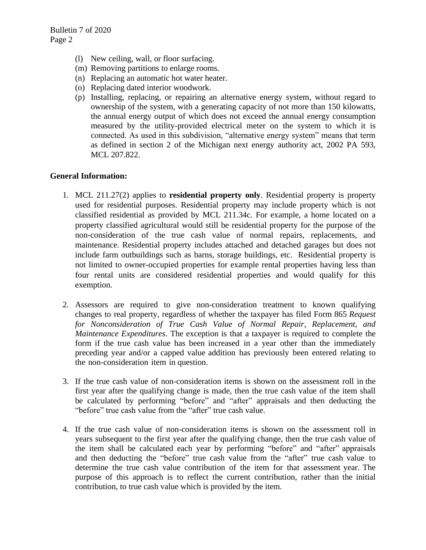- (l) New ceiling, wall, or floor surfacing.
- (m) Removing partitions to enlarge rooms.
- (n) Replacing an automatic hot water heater.
- (o) Replacing dated interior woodwork.
- (p) Installing, replacing, or repairing an alternative energy system, without regard to ownership of the system, with a generating capacity of not more than 150 kilowatts, the annual energy output of which does not exceed the annual energy consumption measured by the utility-provided electrical meter on the system to which it is connected. As used in this subdivision, "alternative energy system" means that term as defined in section 2 of the Michigan next energy authority act, 2002 PA 593, MCL 207.822.

## **General Information:**

- 1. MCL 211.27(2) applies to **residential property only**. Residential property is property used for residential purposes. Residential property may include property which is not classified residential as provided by MCL 211.34c. For example, a home located on a property classified agricultural would still be residential property for the purpose of the non-consideration of the true cash value of normal repairs, replacements, and maintenance. Residential property includes attached and detached garages but does not include farm outbuildings such as barns, storage buildings, etc. Residential property is not limited to owner-occupied properties for example rental properties having less than four rental units are considered residential properties and would qualify for this exemption.
- 2. Assessors are required to give non-consideration treatment to known qualifying changes to real property, regardless of whether the taxpayer has filed Form 865 *Request for Nonconsideration of True Cash Value of Normal Repair, Replacement, and Maintenance Expenditures*. The exception is that a taxpayer is required to complete the form if the true cash value has been increased in a year other than the immediately preceding year and/or a capped value addition has previously been entered relating to the non-consideration item in question.
- 3. If the true cash value of non-consideration items is shown on the assessment roll in the first year after the qualifying change is made, then the true cash value of the item shall be calculated by performing "before" and "after" appraisals and then deducting the "before" true cash value from the "after" true cash value.
- 4. If the true cash value of non-consideration items is shown on the assessment roll in years subsequent to the first year after the qualifying change, then the true cash value of the item shall be calculated each year by performing "before" and "after" appraisals and then deducting the "before" true cash value from the "after" true cash value to determine the true cash value contribution of the item for that assessment year. The purpose of this approach is to reflect the current contribution, rather than the initial contribution, to true cash value which is provided by the item.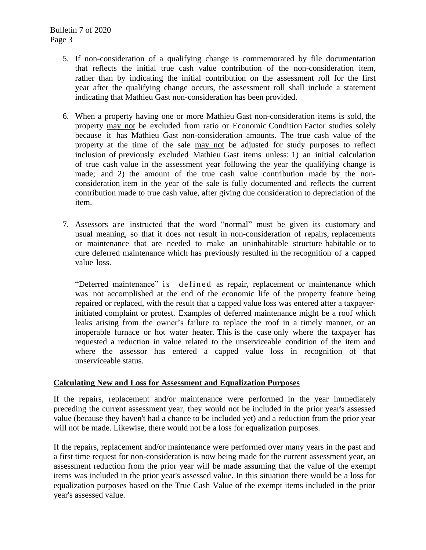- 5. If non-consideration of a qualifying change is commemorated by file documentation that reflects the initial true cash value contribution of the non-consideration item, rather than by indicating the initial contribution on the assessment roll for the first year after the qualifying change occurs, the assessment roll shall include a statement indicating that Mathieu Gast non-consideration has been provided.
- 6. When a property having one or more Mathieu Gast non-consideration items is sold, the property may not be excluded from ratio or Economic Condition Factor studies solely because it has Mathieu Gast non-consideration amounts. The true cash value of the property at the time of the sale may not be adjusted for study purposes to reflect inclusion of previously excluded Mathieu Gast items unless: 1) an initial calculation of true cash value in the assessment year following the year the qualifying change is made; and 2) the amount of the true cash value contribution made by the nonconsideration item in the year of the sale is fully documented and reflects the current contribution made to true cash value, after giving due consideration to depreciation of the item.
- 7. Assessors are instructed that the word "normal" must be given its customary and usual meaning, so that it does not result in non-consideration of repairs, replacements or maintenance that are needed to make an uninhabitable structure habitable or to cure deferred maintenance which has previously resulted in the recognition of a capped value loss.

"Deferred maintenance" is defined as repair, replacement or maintenance which was not accomplished at the end of the economic life of the property feature being repaired or replaced, with the result that a capped value loss was entered after a taxpayerinitiated complaint or protest. Examples of deferred maintenance might be a roof which leaks arising from the owner's failure to replace the roof in a timely manner, or an inoperable furnace or hot water heater. This is the case only where the taxpayer has requested a reduction in value related to the unserviceable condition of the item and where the assessor has entered a capped value loss in recognition of that unserviceable status.

## **Calculating New and Loss for Assessment and Equalization Purposes**

If the repairs, replacement and/or maintenance were performed in the year immediately preceding the current assessment year, they would not be included in the prior year's assessed value (because they haven't had a chance to be included yet) and a reduction from the prior year will not be made. Likewise, there would not be a loss for equalization purposes.

If the repairs, replacement and/or maintenance were performed over many years in the past and a first time request for non-consideration is now being made for the current assessment year, an assessment reduction from the prior year will be made assuming that the value of the exempt items was included in the prior year's assessed value. In this situation there would be a loss for equalization purposes based on the True Cash Value of the exempt items included in the prior year's assessed value.